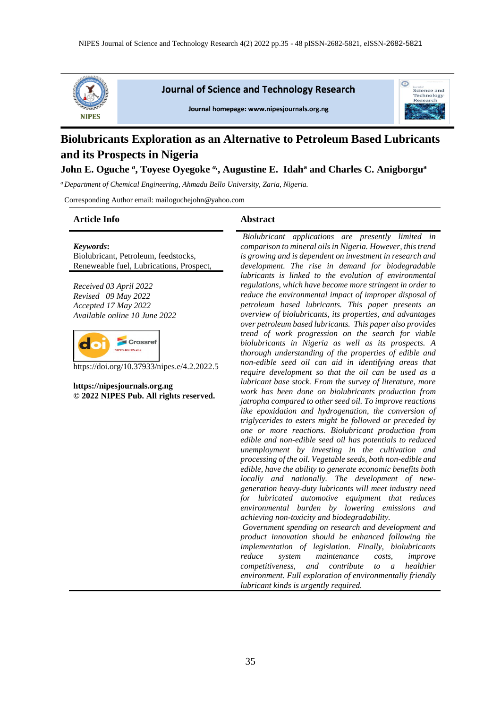

**Journal of Science and Technology Research** 



 $\odot$ 

science and Technology Research

Journal homepage: www.nipesjournals.org.ng

# **Biolubricants Exploration as an Alternative to Petroleum Based Lubricants and its Prospects in Nigeria**

## **John E. Oguche** *<sup>a</sup>* **, Toyese Oyegoke** *a,***, Augustine E. Idah<sup>a</sup> and Charles C. Anigborgu<sup>a</sup>**

*<sup>a</sup>Department of Chemical Engineering, Ahmadu Bello University, Zaria, Nigeria.*

Corresponding Author email: mailoguchejohn@yahoo.com

#### **Article Info Abstract**

*Keywords***:**

Biolubricant, Petroleum, feedstocks, Reneweable fuel, Lubrications, Prospect,

*Received 03 April 2022 Revised 09 May 2022 Accepted 17 May 2022 Available online 10 June 2022*



https://doi.org/10.37933/nipes.e/4.2.2022.5

**https://nipesjournals.org.ng © 2022 NIPES Pub. All rights reserved.**

*Biolubricant applications are presently limited in comparison to mineral oils in Nigeria. However, this trend is growing and is dependent on investment in research and development. The rise in demand for biodegradable lubricants is linked to the evolution of environmental regulations, which have become more stringent in order to reduce the environmental impact of improper disposal of petroleum based lubricants. This paper presents an overview of biolubricants, its properties, and advantages over petroleum based lubricants. This paper also provides trend of work progression on the search for viable biolubricants in Nigeria as well as its prospects. A thorough understanding of the properties of edible and non-edible seed oil can aid in identifying areas that require development so that the oil can be used as a lubricant base stock. From the survey of literature, more work has been done on biolubricants production from jatropha compared to other seed oil. To improve reactions like epoxidation and hydrogenation, the conversion of triglycerides to esters might be followed or preceded by one or more reactions. Biolubricant production from edible and non-edible seed oil has potentials to reduced unemployment by investing in the cultivation and processing of the oil. Vegetable seeds, both non-edible and edible, have the ability to generate economic benefits both locally and nationally. The development of newgeneration heavy-duty lubricants will meet industry need for lubricated automotive equipment that reduces environmental burden by lowering emissions and achieving non-toxicity and biodegradability.*

*Government spending on research and development and product innovation should be enhanced following the implementation of legislation. Finally, biolubricants reduce system maintenance costs, improve competitiveness, and contribute to a healthier environment. Full exploration of environmentally friendly lubricant kinds is urgently required.*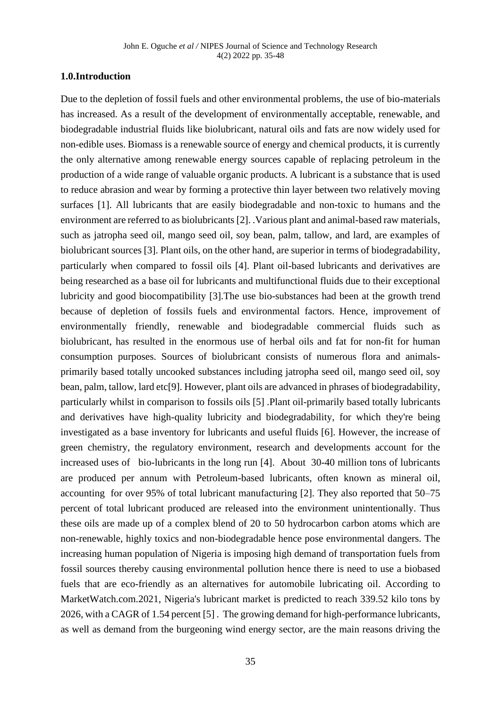## **1.0.Introduction**

Due to the depletion of fossil fuels and other environmental problems, the use of bio-materials has increased. As a result of the development of environmentally acceptable, renewable, and biodegradable industrial fluids like biolubricant, natural oils and fats are now widely used for non-edible uses. Biomass is a renewable source of energy and chemical products, it is currently the only alternative among renewable energy sources capable of replacing petroleum in the production of a wide range of valuable organic products. A lubricant is a substance that is used to reduce abrasion and wear by forming a protective thin layer between two relatively moving surfaces [1]. All lubricants that are easily biodegradable and non-toxic to humans and the environment are referred to as biolubricants [2]. .Various plant and animal-based raw materials, such as jatropha seed oil, mango seed oil, soy bean, palm, tallow, and lard, are examples of biolubricant sources [3]. Plant oils, on the other hand, are superior in terms of biodegradability, particularly when compared to fossil oils [4]. Plant oil-based lubricants and derivatives are being researched as a base oil for lubricants and multifunctional fluids due to their exceptional lubricity and good biocompatibility [3].The use bio-substances had been at the growth trend because of depletion of fossils fuels and environmental factors. Hence, improvement of environmentally friendly, renewable and biodegradable commercial fluids such as biolubricant, has resulted in the enormous use of herbal oils and fat for non-fit for human consumption purposes. Sources of biolubricant consists of numerous flora and animalsprimarily based totally uncooked substances including jatropha seed oil, mango seed oil, soy bean, palm, tallow, lard etc[9]. However, plant oils are advanced in phrases of biodegradability, particularly whilst in comparison to fossils oils [5] .Plant oil-primarily based totally lubricants and derivatives have high-quality lubricity and biodegradability, for which they're being investigated as a base inventory for lubricants and useful fluids [6]. However, the increase of green chemistry, the regulatory environment, research and developments account for the increased uses of bio-lubricants in the long run [4]. About 30-40 million tons of lubricants are produced per annum with Petroleum-based lubricants, often known as mineral oil, accounting for over 95% of total lubricant manufacturing [2]. They also reported that 50–75 percent of total lubricant produced are released into the environment unintentionally. Thus these oils are made up of a complex blend of 20 to 50 hydrocarbon carbon atoms which are non-renewable, highly toxics and non-biodegradable hence pose environmental dangers. The increasing human population of Nigeria is imposing high demand of transportation fuels from fossil sources thereby causing environmental pollution hence there is need to use a biobased fuels that are eco-friendly as an alternatives for automobile lubricating oil. According to MarketWatch.com.2021, Nigeria's lubricant market is predicted to reach 339.52 kilo tons by 2026, with a CAGR of 1.54 percent [5] . The growing demand for high-performance lubricants, as well as demand from the burgeoning wind energy sector, are the main reasons driving the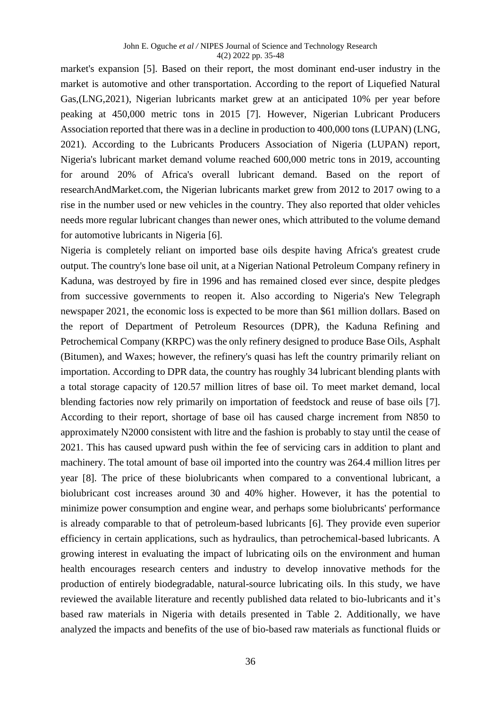market's expansion [5]. Based on their report, the most dominant end-user industry in the market is automotive and other transportation. According to the report of Liquefied Natural Gas,(LNG,2021), Nigerian lubricants market grew at an anticipated 10% per year before peaking at 450,000 metric tons in 2015 [7]. However, Nigerian Lubricant Producers Association reported that there was in a decline in production to 400,000 tons (LUPAN) (LNG, 2021). According to the Lubricants Producers Association of Nigeria (LUPAN) report, Nigeria's lubricant market demand volume reached 600,000 metric tons in 2019, accounting for around 20% of Africa's overall lubricant demand. Based on the report of researchAndMarket.com, the Nigerian lubricants market grew from 2012 to 2017 owing to a rise in the number used or new vehicles in the country. They also reported that older vehicles needs more regular lubricant changes than newer ones, which attributed to the volume demand for automotive lubricants in Nigeria [6].

Nigeria is completely reliant on imported base oils despite having Africa's greatest crude output. The country's lone base oil unit, at a Nigerian National Petroleum Company refinery in Kaduna, was destroyed by fire in 1996 and has remained closed ever since, despite pledges from successive governments to reopen it. Also according to Nigeria's New Telegraph newspaper 2021, the economic loss is expected to be more than \$61 million dollars. Based on the report of Department of Petroleum Resources (DPR), the Kaduna Refining and Petrochemical Company (KRPC) was the only refinery designed to produce Base Oils, Asphalt (Bitumen), and Waxes; however, the refinery's quasi has left the country primarily reliant on importation. According to DPR data, the country has roughly 34 lubricant blending plants with a total storage capacity of 120.57 million litres of base oil. To meet market demand, local blending factories now rely primarily on importation of feedstock and reuse of base oils [7]. According to their report, shortage of base oil has caused charge increment from N850 to approximately N2000 consistent with litre and the fashion is probably to stay until the cease of 2021. This has caused upward push within the fee of servicing cars in addition to plant and machinery. The total amount of base oil imported into the country was 264.4 million litres per year [8]. The price of these biolubricants when compared to a conventional lubricant, a biolubricant cost increases around 30 and 40% higher. However, it has the potential to minimize power consumption and engine wear, and perhaps some biolubricants' performance is already comparable to that of petroleum-based lubricants [6]. They provide even superior efficiency in certain applications, such as hydraulics, than petrochemical-based lubricants. A growing interest in evaluating the impact of lubricating oils on the environment and human health encourages research centers and industry to develop innovative methods for the production of entirely biodegradable, natural-source lubricating oils. In this study, we have reviewed the available literature and recently published data related to bio-lubricants and it's based raw materials in Nigeria with details presented in Table 2. Additionally, we have analyzed the impacts and benefits of the use of bio-based raw materials as functional fluids or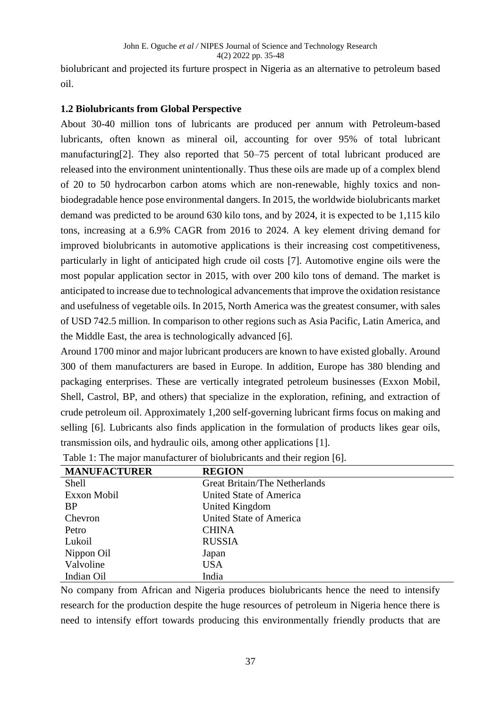biolubricant and projected its furture prospect in Nigeria as an alternative to petroleum based oil.

# **1.2 Biolubricants from Global Perspective**

About 30-40 million tons of lubricants are produced per annum with Petroleum-based lubricants, often known as mineral oil, accounting for over 95% of total lubricant manufacturing[2]. They also reported that 50–75 percent of total lubricant produced are released into the environment unintentionally. Thus these oils are made up of a complex blend of 20 to 50 hydrocarbon carbon atoms which are non-renewable, highly toxics and nonbiodegradable hence pose environmental dangers. In 2015, the worldwide biolubricants market demand was predicted to be around 630 kilo tons, and by 2024, it is expected to be 1,115 kilo tons, increasing at a 6.9% CAGR from 2016 to 2024. A key element driving demand for improved biolubricants in automotive applications is their increasing cost competitiveness, particularly in light of anticipated high crude oil costs [7]. Automotive engine oils were the most popular application sector in 2015, with over 200 kilo tons of demand. The market is anticipated to increase due to technological advancements that improve the oxidation resistance and usefulness of vegetable oils. In 2015, North America was the greatest consumer, with sales of USD 742.5 million. In comparison to other regions such as Asia Pacific, Latin America, and the Middle East, the area is technologically advanced [6].

Around 1700 minor and major lubricant producers are known to have existed globally. Around 300 of them manufacturers are based in Europe. In addition, Europe has 380 blending and packaging enterprises. These are vertically integrated petroleum businesses (Exxon Mobil, Shell, Castrol, BP, and others) that specialize in the exploration, refining, and extraction of crude petroleum oil. Approximately 1,200 self-governing lubricant firms focus on making and selling [6]. Lubricants also finds application in the formulation of products likes gear oils, transmission oils, and hydraulic oils, among other applications [1].

| <b>MANUFACTURER</b> | <b>REGION</b>                  |
|---------------------|--------------------------------|
| Shell               | Great Britain/The Netherlands  |
| Exxon Mobil         | United State of America        |
| <b>BP</b>           | United Kingdom                 |
| Chevron             | <b>United State of America</b> |
| Petro               | <b>CHINA</b>                   |
| Lukoil              | <b>RUSSIA</b>                  |
| Nippon Oil          | Japan                          |
| Valvoline           | <b>USA</b>                     |
| Indian Oil          | India                          |

| Table 1: The major manufacturer of biolubricants and their region [6]. |  |  |  |
|------------------------------------------------------------------------|--|--|--|
|------------------------------------------------------------------------|--|--|--|

No company from African and Nigeria produces biolubricants hence the need to intensify research for the production despite the huge resources of petroleum in Nigeria hence there is need to intensify effort towards producing this environmentally friendly products that are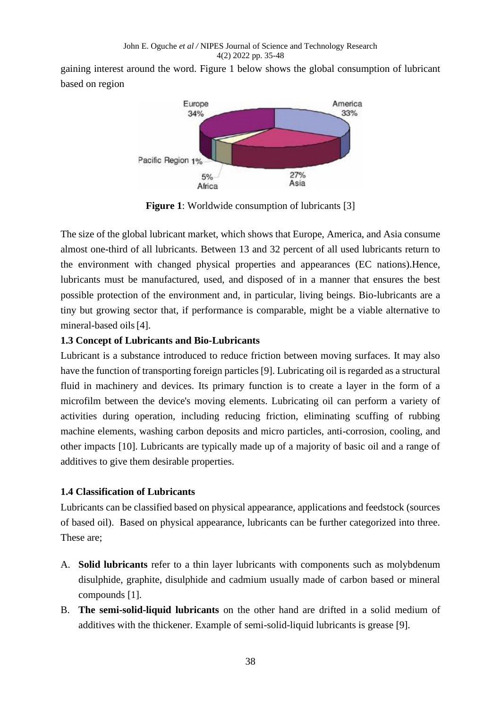gaining interest around the word. Figure 1 below shows the global consumption of lubricant based on region



**Figure 1:** Worldwide consumption of lubricants [3]

The size of the global lubricant market, which shows that Europe, America, and Asia consume almost one-third of all lubricants. Between 13 and 32 percent of all used lubricants return to the environment with changed physical properties and appearances (EC nations).Hence, lubricants must be manufactured, used, and disposed of in a manner that ensures the best possible protection of the environment and, in particular, living beings. Bio-lubricants are a tiny but growing sector that, if performance is comparable, might be a viable alternative to mineral-based oils[4].

# **1.3 Concept of Lubricants and Bio-Lubricants**

Lubricant is a substance introduced to reduce friction between moving surfaces. It may also have the function of transporting foreign particles [9]. Lubricating oil is regarded as a structural fluid in machinery and devices. Its primary function is to create a layer in the form of a microfilm between the device's moving elements. Lubricating oil can perform a variety of activities during operation, including reducing friction, eliminating scuffing of rubbing machine elements, washing carbon deposits and micro particles, anti-corrosion, cooling, and other impacts [10]. Lubricants are typically made up of a majority of basic oil and a range of additives to give them desirable properties.

# **1.4 Classification of Lubricants**

Lubricants can be classified based on physical appearance, applications and feedstock (sources of based oil). Based on physical appearance, lubricants can be further categorized into three. These are;

- A. **Solid lubricants** refer to a thin layer lubricants with components such as molybdenum disulphide, graphite, disulphide and cadmium usually made of carbon based or mineral compounds [1].
- B. **The semi-solid-liquid lubricants** on the other hand are drifted in a solid medium of additives with the thickener. Example of semi-solid-liquid lubricants is grease [9].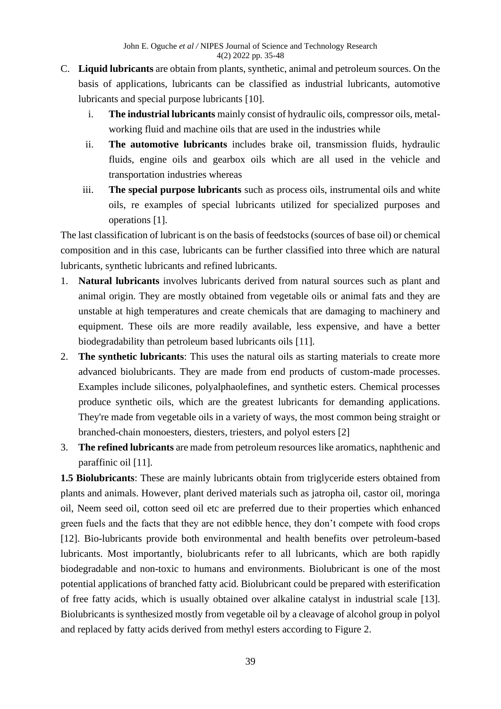- C. **Liquid lubricants** are obtain from plants, synthetic, animal and petroleum sources. On the basis of applications, lubricants can be classified as industrial lubricants, automotive lubricants and special purpose lubricants [10].
	- i. **The industrial lubricants** mainly consist of hydraulic oils, compressor oils, metalworking fluid and machine oils that are used in the industries while
	- ii. **The automotive lubricants** includes brake oil, transmission fluids, hydraulic fluids, engine oils and gearbox oils which are all used in the vehicle and transportation industries whereas
	- iii. **The special purpose lubricants** such as process oils, instrumental oils and white oils, re examples of special lubricants utilized for specialized purposes and operations [1].

The last classification of lubricant is on the basis of feedstocks (sources of base oil) or chemical composition and in this case, lubricants can be further classified into three which are natural lubricants, synthetic lubricants and refined lubricants.

- 1. **Natural lubricants** involves lubricants derived from natural sources such as plant and animal origin. They are mostly obtained from vegetable oils or animal fats and they are unstable at high temperatures and create chemicals that are damaging to machinery and equipment. These oils are more readily available, less expensive, and have a better biodegradability than petroleum based lubricants oils [11].
- 2. **The synthetic lubricants**: This uses the natural oils as starting materials to create more advanced biolubricants. They are made from end products of custom-made processes. Examples include silicones, polyalphaolefines, and synthetic esters. Chemical processes produce synthetic oils, which are the greatest lubricants for demanding applications. They're made from vegetable oils in a variety of ways, the most common being straight or branched-chain monoesters, diesters, triesters, and polyol esters [2]
- 3. **The refined lubricants** are made from petroleum resources like aromatics, naphthenic and paraffinic oil [11].

**1.5 Biolubricants**: These are mainly lubricants obtain from triglyceride esters obtained from plants and animals. However, plant derived materials such as jatropha oil, castor oil, moringa oil, Neem seed oil, cotton seed oil etc are preferred due to their properties which enhanced green fuels and the facts that they are not edibble hence, they don't compete with food crops [12]. Bio-lubricants provide both environmental and health benefits over petroleum-based lubricants. Most importantly, biolubricants refer to all lubricants, which are both rapidly biodegradable and non-toxic to humans and environments. Biolubricant is one of the most potential applications of branched fatty acid. Biolubricant could be prepared with esterification of free fatty acids, which is usually obtained over alkaline catalyst in industrial scale [13]. Biolubricants is synthesized mostly from vegetable oil by a cleavage of alcohol group in polyol and replaced by fatty acids derived from methyl esters according to Figure 2.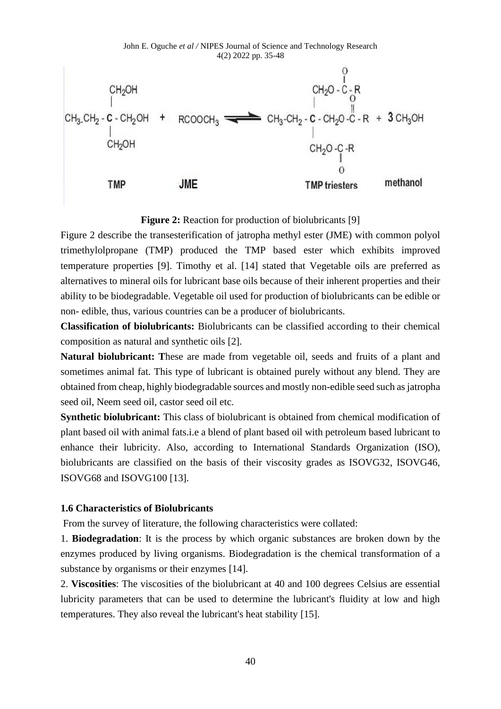John E. Oguche *et al /* NIPES Journal of Science and Technology Research 4(2) 2022 pp. 35-48



**Figure 2:** Reaction for production of biolubricants [9]

Figure 2 describe the transesterification of jatropha methyl ester (JME) with common polyol trimethylolpropane (TMP) produced the TMP based ester which exhibits improved temperature properties [9]. Timothy et al. [14] stated that Vegetable oils are preferred as alternatives to mineral oils for lubricant base oils because of their inherent properties and their ability to be biodegradable. Vegetable oil used for production of biolubricants can be edible or non- edible, thus, various countries can be a producer of biolubricants.

**Classification of biolubricants:** Biolubricants can be classified according to their chemical composition as natural and synthetic oils [2].

**Natural biolubricant: T**hese are made from vegetable oil, seeds and fruits of a plant and sometimes animal fat. This type of lubricant is obtained purely without any blend. They are obtained from cheap, highly biodegradable sources and mostly non-edible seed such as jatropha seed oil, Neem seed oil, castor seed oil etc.

**Synthetic biolubricant:** This class of biolubricant is obtained from chemical modification of plant based oil with animal fats.i.e a blend of plant based oil with petroleum based lubricant to enhance their lubricity. Also, according to International Standards Organization (ISO), biolubricants are classified on the basis of their viscosity grades as ISOVG32, ISOVG46, ISOVG68 and ISOVG100 [13].

### **1.6 Characteristics of Biolubricants**

From the survey of literature, the following characteristics were collated:

1. **Biodegradation**: It is the process by which organic substances are broken down by the enzymes produced by living organisms. Biodegradation is the chemical transformation of a substance by organisms or their enzymes [14].

2. **Viscosities**: The viscosities of the biolubricant at 40 and 100 degrees Celsius are essential lubricity parameters that can be used to determine the lubricant's fluidity at low and high temperatures. They also reveal the lubricant's heat stability [15].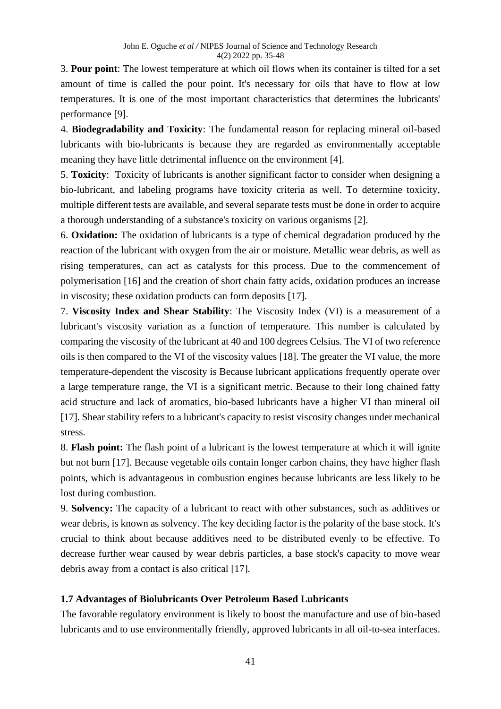3. **Pour point**: The lowest temperature at which oil flows when its container is tilted for a set amount of time is called the pour point. It's necessary for oils that have to flow at low temperatures. It is one of the most important characteristics that determines the lubricants' performance [9].

4. **Biodegradability and Toxicity**: The fundamental reason for replacing mineral oil-based lubricants with bio-lubricants is because they are regarded as environmentally acceptable meaning they have little detrimental influence on the environment [4].

5. **Toxicity**: Toxicity of lubricants is another significant factor to consider when designing a bio-lubricant, and labeling programs have toxicity criteria as well. To determine toxicity, multiple different tests are available, and several separate tests must be done in order to acquire a thorough understanding of a substance's toxicity on various organisms [2].

6. **Oxidation:** The oxidation of lubricants is a type of chemical degradation produced by the reaction of the lubricant with oxygen from the air or moisture. Metallic wear debris, as well as rising temperatures, can act as catalysts for this process. Due to the commencement of polymerisation [16] and the creation of short chain fatty acids, oxidation produces an increase in viscosity; these oxidation products can form deposits [17].

7. **Viscosity Index and Shear Stability**: The Viscosity Index (VI) is a measurement of a lubricant's viscosity variation as a function of temperature. This number is calculated by comparing the viscosity of the lubricant at 40 and 100 degrees Celsius. The VI of two reference oils is then compared to the VI of the viscosity values [18]. The greater the VI value, the more temperature-dependent the viscosity is Because lubricant applications frequently operate over a large temperature range, the VI is a significant metric. Because to their long chained fatty acid structure and lack of aromatics, bio-based lubricants have a higher VI than mineral oil [17]. Shear stability refers to a lubricant's capacity to resist viscosity changes under mechanical stress.

8. **Flash point:** The flash point of a lubricant is the lowest temperature at which it will ignite but not burn [17]. Because vegetable oils contain longer carbon chains, they have higher flash points, which is advantageous in combustion engines because lubricants are less likely to be lost during combustion.

9. **Solvency:** The capacity of a lubricant to react with other substances, such as additives or wear debris, is known as solvency. The key deciding factor is the polarity of the base stock. It's crucial to think about because additives need to be distributed evenly to be effective. To decrease further wear caused by wear debris particles, a base stock's capacity to move wear debris away from a contact is also critical [17].

# **1.7 Advantages of Biolubricants Over Petroleum Based Lubricants**

The favorable regulatory environment is likely to boost the manufacture and use of bio-based lubricants and to use environmentally friendly, approved lubricants in all oil-to-sea interfaces.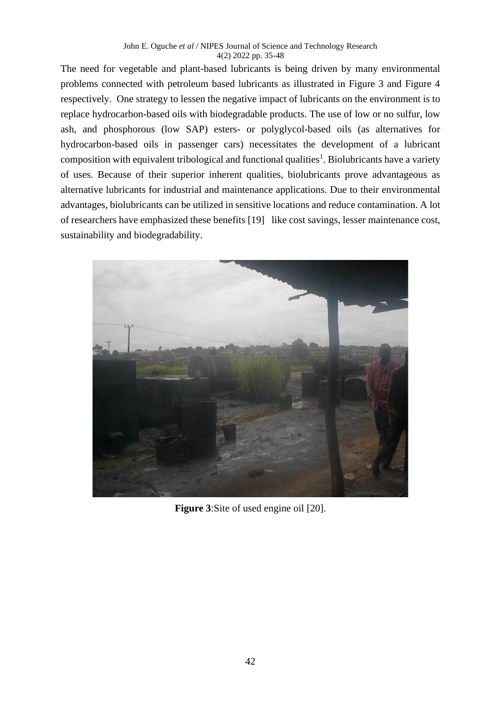#### John E. Oguche *et al /* NIPES Journal of Science and Technology Research 4(2) 2022 pp. 35-48

The need for vegetable and plant-based lubricants is being driven by many environmental problems connected with petroleum based lubricants as illustrated in Figure 3 and Figure 4 respectively. One strategy to lessen the negative impact of lubricants on the environment is to replace hydrocarbon-based oils with biodegradable products. The use of low or no sulfur, low ash, and phosphorous (low SAP) esters- or polyglycol-based oils (as alternatives for hydrocarbon-based oils in passenger cars) necessitates the development of a lubricant composition with equivalent tribological and functional qualities<sup>1</sup>. Biolubricants have a variety of uses. Because of their superior inherent qualities, biolubricants prove advantageous as alternative lubricants for industrial and maintenance applications. Due to their environmental advantages, biolubricants can be utilized in sensitive locations and reduce contamination. A lot of researchers have emphasized these benefits [19] like cost savings, lesser maintenance cost, sustainability and biodegradability.



**Figure 3**:Site of used engine oil [20].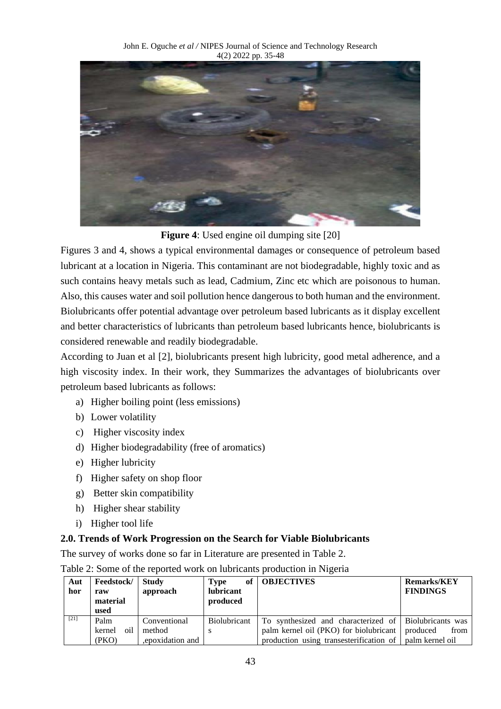

**Figure 4**: Used engine oil dumping site [20]

Figures 3 and 4, shows a typical environmental damages or consequence of petroleum based lubricant at a location in Nigeria. This contaminant are not biodegradable, highly toxic and as such contains heavy metals such as lead, Cadmium, Zinc etc which are poisonous to human. Also, this causes water and soil pollution hence dangerous to both human and the environment. Biolubricants offer potential advantage over petroleum based lubricants as it display excellent and better characteristics of lubricants than petroleum based lubricants hence, biolubricants is considered renewable and readily biodegradable.

According to Juan et al [2], biolubricants present high lubricity, good metal adherence, and a high viscosity index. In their work, they Summarizes the advantages of biolubricants over petroleum based lubricants as follows:

- a) Higher boiling point (less emissions)
- b) Lower volatility
- c) Higher viscosity index
- d) Higher biodegradability (free of aromatics)
- e) Higher lubricity
- f) Higher safety on shop floor
- g) Better skin compatibility
- h) Higher shear stability
- i) Higher tool life

# **2.0. Trends of Work Progression on the Search for Viable Biolubricants**

The survey of works done so far in Literature are presented in Table 2.

| Aut<br>hor         | Feedstock/<br>raw<br>material<br>used | <b>Study</b><br>approach | of<br><b>Type</b><br>lubricant<br>produced | <b>OBJECTIVES</b>                                                                                          | <b>Remarks/KEY</b><br><b>FINDINGS</b> |
|--------------------|---------------------------------------|--------------------------|--------------------------------------------|------------------------------------------------------------------------------------------------------------|---------------------------------------|
| $\lceil 21 \rceil$ | Palm<br>oil<br>kernel                 | Conventional<br>method   | <b>Biolubricant</b>                        | To synthesized and characterized of Biolubricants was<br>palm kernel oil (PKO) for biolubricant   produced | from                                  |
|                    | (PKO)                                 | epoxidation and          |                                            | production using transesterification of   palm kernel oil                                                  |                                       |

Table 2: Some of the reported work on lubricants production in Nigeria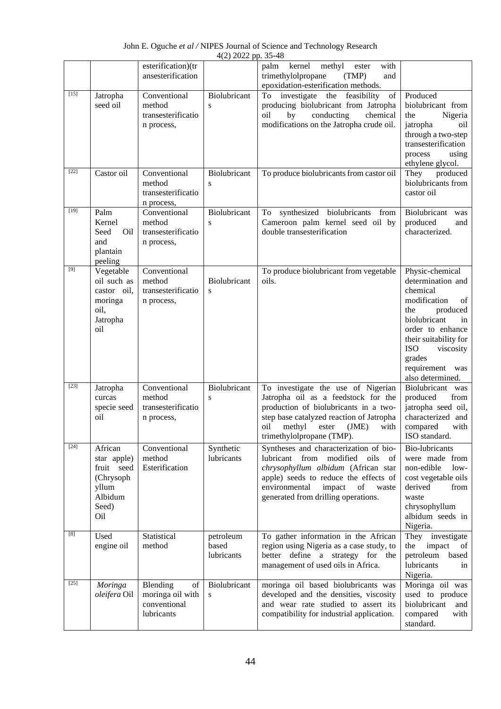John E. Oguche *et al /* NIPES Journal of Science and Technology Research 4(2) 2022 pp. 35-48

|        |                                                                                       | esterification)(tr<br>ansesterification                          |                                  | methyl<br>with<br>palm<br>kernel<br>ester<br>trimethylolpropane<br>(TMP)<br>and<br>epoxidation-esterification methods.                                                                                                                          |                                                                                                                                                                                                                                          |
|--------|---------------------------------------------------------------------------------------|------------------------------------------------------------------|----------------------------------|-------------------------------------------------------------------------------------------------------------------------------------------------------------------------------------------------------------------------------------------------|------------------------------------------------------------------------------------------------------------------------------------------------------------------------------------------------------------------------------------------|
| $[15]$ | Jatropha<br>seed oil                                                                  | Conventional<br>method<br>transesterificatio<br>n process,       | Biolubricant<br>S                | To investigate the feasibility<br>of<br>producing biolubricant from Jatropha<br>oil<br>by<br>conducting<br>chemical<br>modifications on the Jatropha crude oil.                                                                                 | Produced<br>biolubricant from<br>the<br>Nigeria<br>jatropha<br>oil<br>through a two-step<br>transesterification<br>process<br>using<br>ethylene glycol.                                                                                  |
| $[22]$ | Castor oil                                                                            | Conventional<br>method<br>transesterificatio<br>n process,       | Biolubricant<br>S                | To produce biolubricants from castor oil                                                                                                                                                                                                        | They<br>produced<br>biolubricants from<br>castor oil                                                                                                                                                                                     |
| $[19]$ | Palm<br>Kernel<br>Oil<br>Seed<br>and<br>plantain<br>peeling                           | Conventional<br>method<br>transesterificatio<br>n process,       | Biolubricant<br>S                | To synthesized biolubricants<br>from<br>Cameroon palm kernel seed oil by<br>double transesterification                                                                                                                                          | Biolubricant<br>was<br>produced<br>and<br>characterized.                                                                                                                                                                                 |
| $[9]$  | Vegetable<br>oil such as<br>castor oil,<br>moringa<br>oil,<br>Jatropha<br>oil         | Conventional<br>method<br>transesterificatio<br>n process,       | Biolubricant<br>${\bf S}$        | To produce biolubricant from vegetable<br>oils.                                                                                                                                                                                                 | Physic-chemical<br>determination and<br>chemical<br>modification<br>of<br>produced<br>the<br>biolubricant<br>in<br>order to enhance<br>their suitability for<br><b>ISO</b><br>viscosity<br>grades<br>requirement was<br>also determined. |
| $[23]$ | Jatropha<br>curcas<br>specie seed<br>oil                                              | Conventional<br>method<br>transesterificatio<br>n process,       | Biolubricant<br>${\bf S}$        | To investigate the use of Nigerian<br>Jatropha oil as a feedstock for the<br>production of biolubricants in a two-<br>step base catalyzed reaction of Jatropha<br>oil<br>methyl<br>ester<br>(JME)<br>with<br>trimethylolpropane (TMP).          | Biolubricant was<br>produced<br>from<br>jatropha seed oil,<br>characterized and<br>compared<br>with<br>ISO standard.                                                                                                                     |
| $[24]$ | African<br>star apple)<br>fruit seed<br>(Chrysoph<br>yllum<br>Albidum<br>Seed)<br>Oil | Conventional<br>method<br>Esterification                         | Synthetic<br>lubricants          | Syntheses and characterization of bio-<br>lubricant from modified oils<br>- of<br>chrysophyllum albidum (African star<br>apple) seeds to reduce the effects of<br>environmental<br>impact<br>of<br>waste<br>generated from drilling operations. | <b>Bio-lubricants</b><br>were made from<br>non-edible<br>$low-$<br>cost vegetable oils<br>derived<br>from<br>waste<br>chrysophyllum<br>albidum seeds in<br>Nigeria.                                                                      |
| [8]    | Used<br>engine oil                                                                    | Statistical<br>method                                            | petroleum<br>based<br>lubricants | To gather information in the African<br>region using Nigeria as a case study, to<br>better define a strategy for the<br>management of used oils in Africa.                                                                                      | They investigate<br>the<br>impact<br>of<br>petroleum<br>based<br>lubricants<br>in<br>Nigeria.                                                                                                                                            |
| $[25]$ | Moringa<br>oleifera Oil                                                               | Blending<br>of<br>moringa oil with<br>conventional<br>lubricants | Biolubricant<br>S                | moringa oil based biolubricants was<br>developed and the densities, viscosity<br>and wear rate studied to assert its<br>compatibility for industrial application.                                                                               | Moringa oil was<br>used to produce<br>biolubricant<br>and<br>compared<br>with<br>standard.                                                                                                                                               |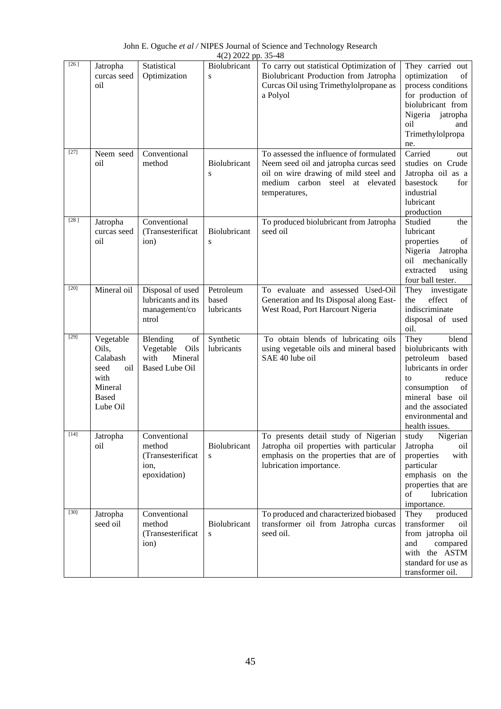| $[26]$ | Jatropha<br>curcas seed<br>oil                                                               | Statistical<br>Optimization                                                     | Biolubricant<br>S                | To carry out statistical Optimization of<br>Biolubricant Production from Jatropha<br>Curcas Oil using Trimethylolpropane as<br>a Polyol                                        | They carried out<br>optimization<br>of<br>process conditions<br>for production of<br>biolubricant from<br>Nigeria jatropha<br>oil<br>and<br>Trimethylolpropa<br>ne.                                    |
|--------|----------------------------------------------------------------------------------------------|---------------------------------------------------------------------------------|----------------------------------|--------------------------------------------------------------------------------------------------------------------------------------------------------------------------------|--------------------------------------------------------------------------------------------------------------------------------------------------------------------------------------------------------|
| $[27]$ | Neem seed<br>oil                                                                             | Conventional<br>method                                                          | Biolubricant<br>S                | To assessed the influence of formulated<br>Neem seed oil and jatropha curcas seed<br>oil on wire drawing of mild steel and<br>medium carbon steel at elevated<br>temperatures, | Carried<br>out<br>studies on Crude<br>Jatropha oil as a<br>basestock<br>for<br>industrial<br>lubricant<br>production                                                                                   |
| $[28]$ | Jatropha<br>curcas seed<br>oil                                                               | Conventional<br>(Transesterificat<br>ion)                                       | Biolubricant<br>S                | To produced biolubricant from Jatropha<br>seed oil                                                                                                                             | Studied<br>the<br>lubricant<br>properties<br>of<br>Nigeria Jatropha<br>oil mechanically<br>extracted<br>using<br>four ball tester.                                                                     |
| $[20]$ | Mineral oil                                                                                  | Disposal of used<br>lubricants and its<br>management/co<br>ntrol                | Petroleum<br>based<br>lubricants | To evaluate and assessed Used-Oil<br>Generation and Its Disposal along East-<br>West Road, Port Harcourt Nigeria                                                               | They investigate<br>effect<br>the<br>of<br>indiscriminate<br>disposal of used<br>oil.                                                                                                                  |
| $[29]$ | Vegetable<br>Oils,<br>Calabash<br>seed<br>oil<br>with<br>Mineral<br><b>Based</b><br>Lube Oil | Blending<br>of<br>Vegetable<br>Oils<br>with<br>Mineral<br><b>Based Lube Oil</b> | Synthetic<br>lubricants          | To obtain blends of lubricating oils<br>using vegetable oils and mineral based<br>SAE 40 lube oil                                                                              | They<br>blend<br>biolubricants with<br>petroleum<br>based<br>lubricants in order<br>reduce<br>to<br>consumption<br>of<br>mineral base oil<br>and the associated<br>environmental and<br>health issues. |
| $[14]$ | Jatropha<br>oil                                                                              | Conventional<br>method<br>(Transesterificat<br>ion,<br>epoxidation)             | Biolubricant<br>S                | To presents detail study of Nigerian<br>Jatropha oil properties with particular<br>emphasis on the properties that are of<br>lubrication importance.                           | study<br>Nigerian<br>Jatropha<br>oil<br>properties<br>with<br>particular<br>emphasis on the<br>properties that are<br>of<br>lubrication<br>importance.                                                 |
| $[30]$ | Jatropha<br>seed oil                                                                         | Conventional<br>method<br>(Transesterificat<br>ion)                             | Biolubricant<br>S                | To produced and characterized biobased<br>transformer oil from Jatropha curcas<br>seed oil.                                                                                    | They<br>produced<br>transformer<br>oil<br>from jatropha oil<br>and<br>compared<br>with the ASTM<br>standard for use as<br>transformer oil.                                                             |

John E. Oguche *et al /* NIPES Journal of Science and Technology Research 4(2) 2022 pp. 35-48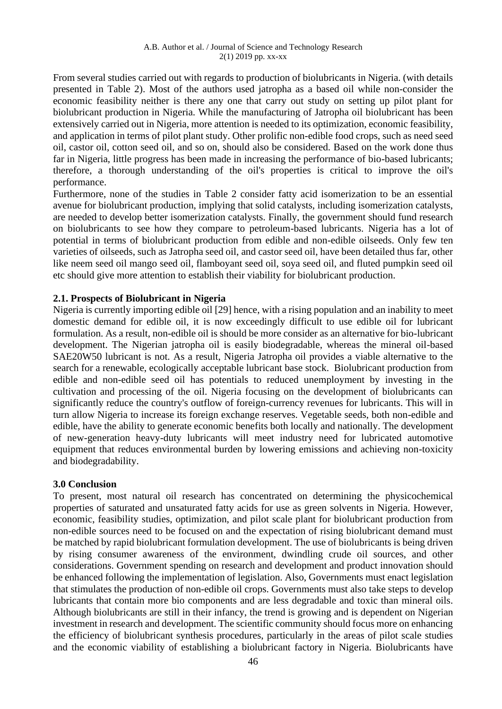From several studies carried out with regards to production of biolubricants in Nigeria. (with details presented in Table 2). Most of the authors used jatropha as a based oil while non-consider the economic feasibility neither is there any one that carry out study on setting up pilot plant for biolubricant production in Nigeria. While the manufacturing of Jatropha oil biolubricant has been extensively carried out in Nigeria, more attention is needed to its optimization, economic feasibility, and application in terms of pilot plant study. Other prolific non-edible food crops, such as need seed oil, castor oil, cotton seed oil, and so on, should also be considered. Based on the work done thus far in Nigeria, little progress has been made in increasing the performance of bio-based lubricants; therefore, a thorough understanding of the oil's properties is critical to improve the oil's performance.

Furthermore, none of the studies in Table 2 consider fatty acid isomerization to be an essential avenue for biolubricant production, implying that solid catalysts, including isomerization catalysts, are needed to develop better isomerization catalysts. Finally, the government should fund research on biolubricants to see how they compare to petroleum-based lubricants. Nigeria has a lot of potential in terms of biolubricant production from edible and non-edible oilseeds. Only few ten varieties of oilseeds, such as Jatropha seed oil, and castor seed oil, have been detailed thus far, other like neem seed oil mango seed oil, flamboyant seed oil, soya seed oil, and fluted pumpkin seed oil etc should give more attention to establish their viability for biolubricant production.

## **2.1. Prospects of Biolubricant in Nigeria**

Nigeria is currently importing edible oil [29] hence, with a rising population and an inability to meet domestic demand for edible oil, it is now exceedingly difficult to use edible oil for lubricant formulation. As a result, non-edible oil is should be more consider as an alternative for bio-lubricant development. The Nigerian jatropha oil is easily biodegradable, whereas the mineral oil-based SAE20W50 lubricant is not. As a result, Nigeria Jatropha oil provides a viable alternative to the search for a renewable, ecologically acceptable lubricant base stock. Biolubricant production from edible and non-edible seed oil has potentials to reduced unemployment by investing in the cultivation and processing of the oil. Nigeria focusing on the development of biolubricants can significantly reduce the country's outflow of foreign-currency revenues for lubricants. This will in turn allow Nigeria to increase its foreign exchange reserves. Vegetable seeds, both non-edible and edible, have the ability to generate economic benefits both locally and nationally. The development of new-generation heavy-duty lubricants will meet industry need for lubricated automotive equipment that reduces environmental burden by lowering emissions and achieving non-toxicity and biodegradability.

## **3.0 Conclusion**

To present, most natural oil research has concentrated on determining the physicochemical properties of saturated and unsaturated fatty acids for use as green solvents in Nigeria. However, economic, feasibility studies, optimization, and pilot scale plant for biolubricant production from non-edible sources need to be focused on and the expectation of rising biolubricant demand must be matched by rapid biolubricant formulation development. The use of biolubricants is being driven by rising consumer awareness of the environment, dwindling crude oil sources, and other considerations. Government spending on research and development and product innovation should be enhanced following the implementation of legislation. Also, Governments must enact legislation that stimulates the production of non-edible oil crops. Governments must also take steps to develop lubricants that contain more bio components and are less degradable and toxic than mineral oils. Although biolubricants are still in their infancy, the trend is growing and is dependent on Nigerian investment in research and development. The scientific community should focus more on enhancing the efficiency of biolubricant synthesis procedures, particularly in the areas of pilot scale studies and the economic viability of establishing a biolubricant factory in Nigeria. Biolubricants have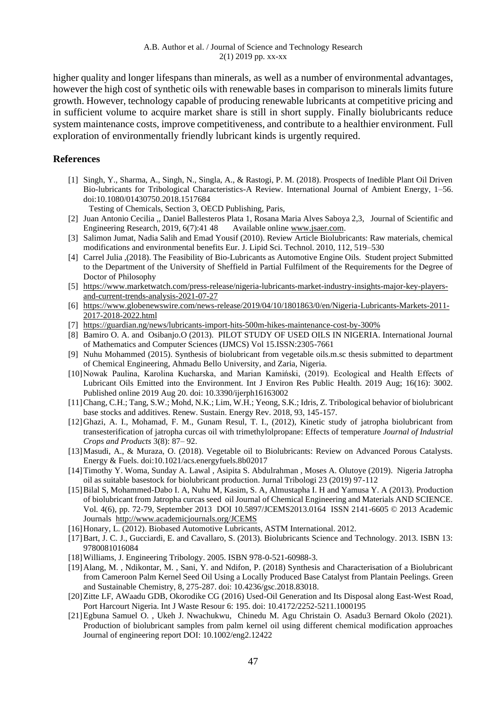higher quality and longer lifespans than minerals, as well as a number of environmental advantages, however the high cost of synthetic oils with renewable bases in comparison to minerals limits future growth. However, technology capable of producing renewable lubricants at competitive pricing and in sufficient volume to acquire market share is still in short supply. Finally biolubricants reduce system maintenance costs, improve competitiveness, and contribute to a healthier environment. Full exploration of environmentally friendly lubricant kinds is urgently required.

## **References**

- [1] Singh, Y., Sharma, A., Singh, N., Singla, A., & Rastogi, P. M. (2018). Prospects of Inedible Plant Oil Driven Bio-lubricants for Tribological Characteristics-A Review. International Journal of Ambient Energy, 1–56. doi:10.1080/01430750.2018.1517684
	- Testing of Chemicals, Section 3, OECD Publishing, Paris,
- [2] Juan Antonio Cecilia ,, Daniel Ballesteros Plata 1, Rosana Maria Alves Saboya 2,3, Journal of Scientific and Engineering Research, 2019, 6(7):41 48 Available online [www.jsaer.com.](http://www.jsaer.com/)
- [3] Salimon Jumat, Nadia Salih and Emad Yousif (2010). Review Article Biolubricants: Raw materials, chemical modifications and environmental benefits Eur. J. Lipid Sci. Technol. 2010, 112, 519–530
- [4] Carrel Julia ,(2018). The Feasibility of Bio-Lubricants as Automotive Engine Oils. Student project Submitted to the Department of the University of Sheffield in Partial Fulfilment of the Requirements for the Degree of Doctor of Philosophy
- [5] [https://www.marketwatch.com/press-release/nigeria-lubricants-market-industry-insights-major-key-players](https://www.marketwatch.com/press-release/nigeria-lubricants-market-industry-insights-major-key-players-and-current-trends-analysis-2021-07-27)[and-current-trends-analysis-2021-07-27](https://www.marketwatch.com/press-release/nigeria-lubricants-market-industry-insights-major-key-players-and-current-trends-analysis-2021-07-27)
- [6] [https://www.globenewswire.com/news-release/2019/04/10/1801863/0/en/Nigeria-Lubricants-Markets-2011-](https://www.globenewswire.com/news-release/2019/04/10/1801863/0/en/Nigeria-Lubricants-Markets-2011-2017-2018-2022.html) [2017-2018-2022.html](https://www.globenewswire.com/news-release/2019/04/10/1801863/0/en/Nigeria-Lubricants-Markets-2011-2017-2018-2022.html)
- [7] [https://guardian.ng/news/lubricants-import-hits-500m-hikes-maintenance-cost-by-300%](https://guardian.ng/news/lubricants-import-hits-500m-hikes-maintenance-cost-by-300%25)
- [8] Bamiro O. A. and Osibanjo.O (2013). PILOT STUDY OF USED OILS IN NIGERIA. International Journal of Mathematics and Computer Sciences (IJMCS) Vol 15.ISSN:2305-7661
- [9] Nuhu Mohammed (2015). Synthesis of biolubricant from vegetable oils.m.sc thesis submitted to department of Chemical Engineering, Ahmadu Bello University, and Zaria, Nigeria.
- [10]Nowak Paulina, Karolina Kucharska, and Marian Kamiński, (2019). Ecological and Health Effects of Lubricant Oils Emitted into the Environment. Int J Environ Res Public Health. 2019 Aug; 16(16): 3002. Published online 2019 Aug 20. doi: 10.3390/ijerph16163002
- [11]Chang, C.H.; Tang, S.W.; Mohd, N.K.; Lim, W.H.; Yeong, S.K.; Idris, Z. Tribological behavior of biolubricant base stocks and additives. Renew. Sustain. Energy Rev. 2018, 93, 145-157.
- [12]Ghazi, A. I., Mohamad, F. M., Gunam Resul, T. I., (2012), Kinetic study of jatropha biolubricant from transesterification of jatropha curcas oil with trimethylolpropane: Effects of temperature *Journal of Industrial Crops and Products* 3(8): 87– 92.
- [13]Masudi, A., & Muraza, O. (2018). Vegetable oil to Biolubricants: Review on Advanced Porous Catalysts. Energy & Fuels. doi:10.1021/acs.energyfuels.8b02017
- [14]Timothy Y. Woma, Sunday A. Lawal , Asipita S. Abdulrahman , Moses A. Olutoye (2019). Nigeria Jatropha oil as suitable basestock for biolubricant production. Jurnal Tribologi 23 (2019) 97-112
- [15]Bilal S, Mohammed-Dabo I. A, Nuhu M, Kasim, S. A, Almustapha I. H and Yamusa Y. A (2013). Production of biolubricant from Jatropha curcas seed oil Journal of Chemical Engineering and Materials AND SCIENCE. Vol. 4(6), pp. 72-79, September 2013 DOI 10.5897/JCEMS2013.0164 ISSN 2141-6605 © 2013 Academic Journals <http://www.academicjournals.org/JCEMS>
- [16] Honary, L. (2012). Biobased Automotive Lubricants, ASTM International. 2012.
- [17]Bart, J. C. J., Gucciardi, E. and Cavallaro, S. (2013). Biolubricants Science and Technology. 2013. ISBN 13: 9780081016084
- [18]Williams, J. Engineering Tribology. 2005. ISBN 978-0-521-60988-3.
- [19]Alang, M. , Ndikontar, M. , Sani, Y. and Ndifon, P. (2018) Synthesis and Characterisation of a Biolubricant from Cameroon Palm Kernel Seed Oil Using a Locally Produced Base Catalyst from Plantain Peelings. Green and Sustainable Chemistry, 8, 275-287. doi: 10.4236/gsc.2018.83018.
- [20]Zitte LF, AWaadu GDB, Okorodike CG (2016) Used-Oil Generation and Its Disposal along East-West Road, Port Harcourt Nigeria. Int J Waste Resour 6: 195. doi: 10.4172/2252-5211.1000195
- [21]Egbuna Samuel O. , Ukeh J. Nwachukwu, Chinedu M. Agu Christain O. Asadu3 Bernard Okolo (2021). Production of biolubricant samples from palm kernel oil using different chemical modification approaches Journal of engineering report DOI: 10.1002/eng2.12422